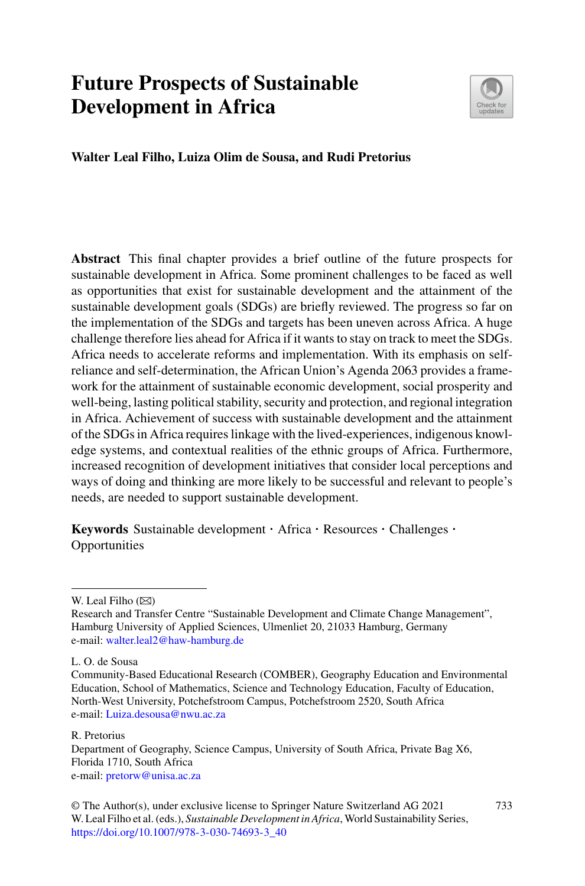# **Future Prospects of Sustainable Development in Africa**



**Walter Leal Filho, Luiza Olim de Sousa, and Rudi Pretorius**

**Abstract** This final chapter provides a brief outline of the future prospects for sustainable development in Africa. Some prominent challenges to be faced as well as opportunities that exist for sustainable development and the attainment of the sustainable development goals (SDGs) are briefly reviewed. The progress so far on the implementation of the SDGs and targets has been uneven across Africa. A huge challenge therefore lies ahead for Africa if it wants to stay on track to meet the SDGs. Africa needs to accelerate reforms and implementation. With its emphasis on selfreliance and self-determination, the African Union's Agenda 2063 provides a framework for the attainment of sustainable economic development, social prosperity and well-being, lasting political stability, security and protection, and regional integration in Africa. Achievement of success with sustainable development and the attainment of the SDGs in Africa requires linkage with the lived-experiences, indigenous knowledge systems, and contextual realities of the ethnic groups of Africa. Furthermore, increased recognition of development initiatives that consider local perceptions and ways of doing and thinking are more likely to be successful and relevant to people's needs, are needed to support sustainable development.

**Keywords** Sustainable development · Africa · Resources · Challenges · Opportunities

R. Pretorius

W. Leal Filho  $(\boxtimes)$ 

Research and Transfer Centre "Sustainable Development and Climate Change Management", Hamburg University of Applied Sciences, Ulmenliet 20, 21033 Hamburg, Germany e-mail: [walter.leal2@haw-hamburg.de](mailto:walter.leal2@haw-hamburg.de)

L. O. de Sousa

Community-Based Educational Research (COMBER), Geography Education and Environmental Education, School of Mathematics, Science and Technology Education, Faculty of Education, North-West University, Potchefstroom Campus, Potchefstroom 2520, South Africa e-mail: [Luiza.desousa@nwu.ac.za](mailto:Luiza.desousa@nwu.ac.za)

Department of Geography, Science Campus, University of South Africa, Private Bag X6, Florida 1710, South Africa e-mail: [pretorw@unisa.ac.za](mailto:pretorw@unisa.ac.za)

<sup>©</sup> The Author(s), under exclusive license to Springer Nature Switzerland AG 2021 W. Leal Filho et al. (eds.), *Sustainable Development in Africa*, World Sustainability Series, [https://doi.org/10.1007/978-3-030-74693-3\\_40](https://doi.org/10.1007/978-3-030-74693-3_40)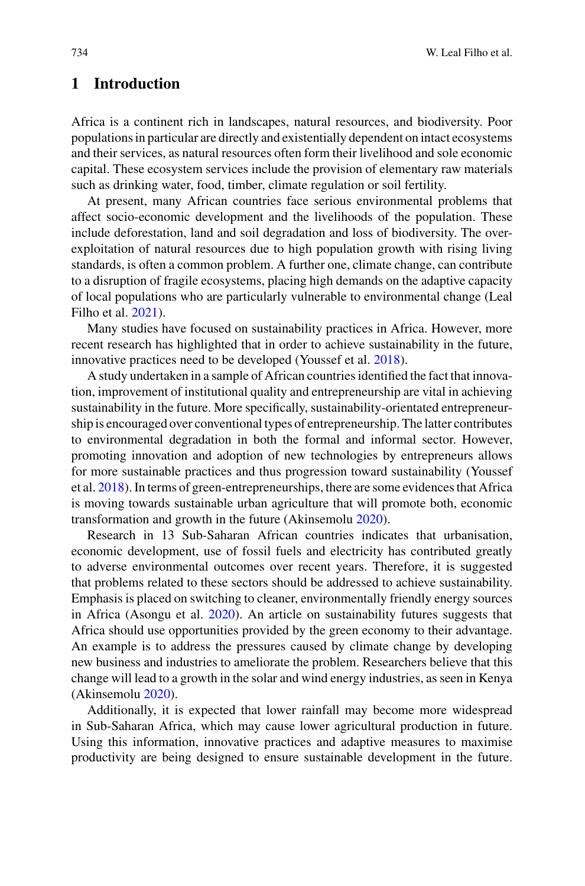# **1 Introduction**

Africa is a continent rich in landscapes, natural resources, and biodiversity. Poor populations in particular are directly and existentially dependent on intact ecosystems and their services, as natural resources often form their livelihood and sole economic capital. These ecosystem services include the provision of elementary raw materials such as drinking water, food, timber, climate regulation or soil fertility.

At present, many African countries face serious environmental problems that affect socio-economic development and the livelihoods of the population. These include deforestation, land and soil degradation and loss of biodiversity. The overexploitation of natural resources due to high population growth with rising living standards, is often a common problem. A further one, climate change, can contribute to a disruption of fragile ecosystems, placing high demands on the adaptive capacity of local populations who are particularly vulnerable to environmental change (Leal Filho et al. [2021\)](#page-7-0).

Many studies have focused on sustainability practices in Africa. However, more recent research has highlighted that in order to achieve sustainability in the future, innovative practices need to be developed (Youssef et al. [2018\)](#page-8-0).

A study undertaken in a sample of African countries identified the fact that innovation, improvement of institutional quality and entrepreneurship are vital in achieving sustainability in the future. More specifically, sustainability-orientated entrepreneurship is encouraged over conventional types of entrepreneurship. The latter contributes to environmental degradation in both the formal and informal sector. However, promoting innovation and adoption of new technologies by entrepreneurs allows for more sustainable practices and thus progression toward sustainability (Youssef et al. [2018\)](#page-8-0). In terms of green-entrepreneurships, there are some evidences that Africa is moving towards sustainable urban agriculture that will promote both, economic transformation and growth in the future (Akinsemolu [2020\)](#page-6-0).

Research in 13 Sub-Saharan African countries indicates that urbanisation, economic development, use of fossil fuels and electricity has contributed greatly to adverse environmental outcomes over recent years. Therefore, it is suggested that problems related to these sectors should be addressed to achieve sustainability. Emphasis is placed on switching to cleaner, environmentally friendly energy sources in Africa (Asongu et al. [2020\)](#page-7-1). An article on sustainability futures suggests that Africa should use opportunities provided by the green economy to their advantage. An example is to address the pressures caused by climate change by developing new business and industries to ameliorate the problem. Researchers believe that this change will lead to a growth in the solar and wind energy industries, as seen in Kenya (Akinsemolu [2020\)](#page-6-0).

Additionally, it is expected that lower rainfall may become more widespread in Sub-Saharan Africa, which may cause lower agricultural production in future. Using this information, innovative practices and adaptive measures to maximise productivity are being designed to ensure sustainable development in the future.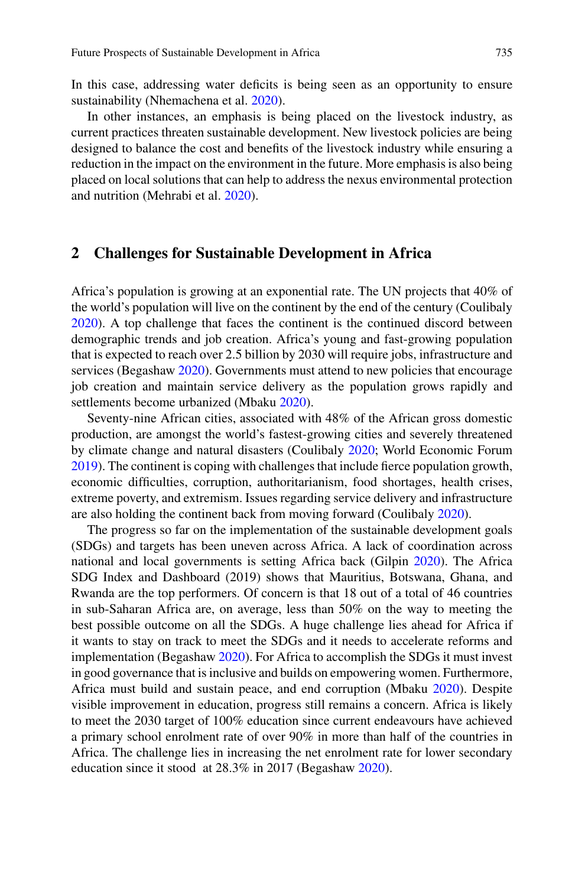In this case, addressing water deficits is being seen as an opportunity to ensure sustainability (Nhemachena et al. [2020\)](#page-8-1).

In other instances, an emphasis is being placed on the livestock industry, as current practices threaten sustainable development. New livestock policies are being designed to balance the cost and benefits of the livestock industry while ensuring a reduction in the impact on the environment in the future. More emphasis is also being placed on local solutions that can help to address the nexus environmental protection and nutrition (Mehrabi et al. [2020\)](#page-7-2).

## **2 Challenges for Sustainable Development in Africa**

Africa's population is growing at an exponential rate. The UN projects that 40% of the world's population will live on the continent by the end of the century (Coulibaly [2020\)](#page-7-3). A top challenge that faces the continent is the continued discord between demographic trends and job creation. Africa's young and fast-growing population that is expected to reach over 2.5 billion by 2030 will require jobs, infrastructure and services (Begashaw [2020\)](#page-7-4). Governments must attend to new policies that encourage job creation and maintain service delivery as the population grows rapidly and settlements become urbanized (Mbaku [2020\)](#page-7-5).

Seventy-nine African cities, associated with 48% of the African gross domestic production, are amongst the world's fastest-growing cities and severely threatened by climate change and natural disasters (Coulibaly [2020;](#page-7-3) World Economic Forum [2019\)](#page-8-2). The continent is coping with challenges that include fierce population growth, economic difficulties, corruption, authoritarianism, food shortages, health crises, extreme poverty, and extremism. Issues regarding service delivery and infrastructure are also holding the continent back from moving forward (Coulibaly [2020\)](#page-7-3).

The progress so far on the implementation of the sustainable development goals (SDGs) and targets has been uneven across Africa. A lack of coordination across national and local governments is setting Africa back (Gilpin [2020\)](#page-7-6). The Africa SDG Index and Dashboard (2019) shows that Mauritius, Botswana, Ghana, and Rwanda are the top performers. Of concern is that 18 out of a total of 46 countries in sub-Saharan Africa are, on average, less than 50% on the way to meeting the best possible outcome on all the SDGs. A huge challenge lies ahead for Africa if it wants to stay on track to meet the SDGs and it needs to accelerate reforms and implementation (Begashaw [2020\)](#page-7-4). For Africa to accomplish the SDGs it must invest in good governance that is inclusive and builds on empowering women. Furthermore, Africa must build and sustain peace, and end corruption (Mbaku [2020\)](#page-7-5). Despite visible improvement in education, progress still remains a concern. Africa is likely to meet the 2030 target of 100% education since current endeavours have achieved a primary school enrolment rate of over 90% in more than half of the countries in Africa. The challenge lies in increasing the net enrolment rate for lower secondary education since it stood at 28.3% in 2017 (Begashaw [2020\)](#page-7-4).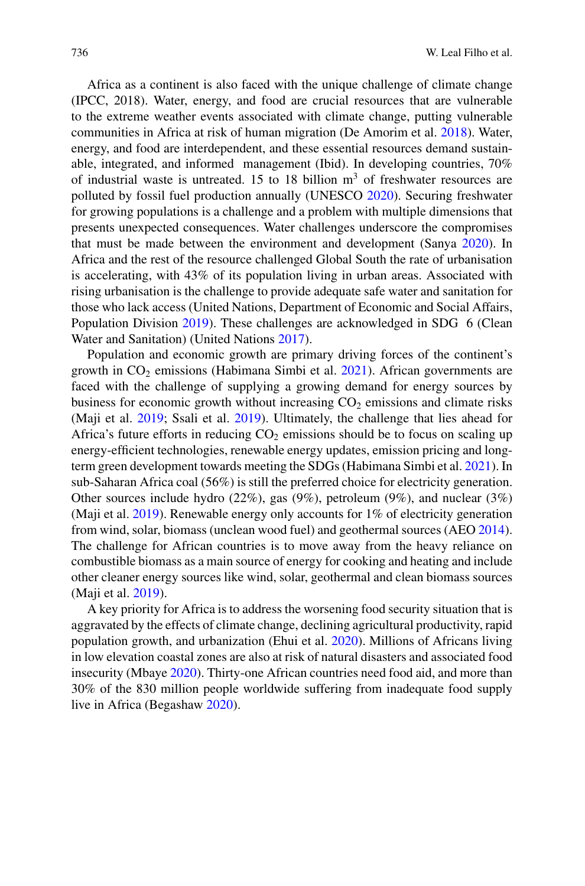Africa as a continent is also faced with the unique challenge of climate change (IPCC, 2018). Water, energy, and food are crucial resources that are vulnerable to the extreme weather events associated with climate change, putting vulnerable communities in Africa at risk of human migration (De Amorim et al. [2018\)](#page-7-7). Water, energy, and food are interdependent, and these essential resources demand sustainable, integrated, and informed management (Ibid). In developing countries, 70% of industrial waste is untreated. 15 to 18 billion  $m<sup>3</sup>$  of freshwater resources are polluted by fossil fuel production annually (UNESCO [2020\)](#page-8-3). Securing freshwater for growing populations is a challenge and a problem with multiple dimensions that presents unexpected consequences. Water challenges underscore the compromises that must be made between the environment and development (Sanya [2020\)](#page-8-4). In Africa and the rest of the resource challenged Global South the rate of urbanisation is accelerating, with 43% of its population living in urban areas. Associated with rising urbanisation is the challenge to provide adequate safe water and sanitation for those who lack access (United Nations, Department of Economic and Social Affairs, Population Division [2019\)](#page-8-5). These challenges are acknowledged in SDG 6 (Clean Water and Sanitation) (United Nations [2017\)](#page-8-6).

Population and economic growth are primary driving forces of the continent's growth in  $CO<sub>2</sub>$  emissions (Habimana Simbi et al. [2021\)](#page-7-8). African governments are faced with the challenge of supplying a growing demand for energy sources by business for economic growth without increasing  $CO<sub>2</sub>$  emissions and climate risks (Maji et al. [2019;](#page-7-9) Ssali et al. [2019\)](#page-8-7). Ultimately, the challenge that lies ahead for Africa's future efforts in reducing  $CO<sub>2</sub>$  emissions should be to focus on scaling up energy-efficient technologies, renewable energy updates, emission pricing and longterm green development towards meeting the SDGs (Habimana Simbi et al. [2021\)](#page-7-8). In sub-Saharan Africa coal (56%) is still the preferred choice for electricity generation. Other sources include hydro (22%), gas (9%), petroleum (9%), and nuclear (3%) (Maji et al. [2019\)](#page-7-9). Renewable energy only accounts for 1% of electricity generation from wind, solar, biomass (unclean wood fuel) and geothermal sources (AEO [2014\)](#page-6-1). The challenge for African countries is to move away from the heavy reliance on combustible biomass as a main source of energy for cooking and heating and include other cleaner energy sources like wind, solar, geothermal and clean biomass sources (Maji et al. [2019\)](#page-7-9).

A key priority for Africa is to address the worsening food security situation that is aggravated by the effects of climate change, declining agricultural productivity, rapid population growth, and urbanization (Ehui et al. [2020\)](#page-7-10). Millions of Africans living in low elevation coastal zones are also at risk of natural disasters and associated food insecurity (Mbaye [2020\)](#page-7-11). Thirty-one African countries need food aid, and more than 30% of the 830 million people worldwide suffering from inadequate food supply live in Africa (Begashaw [2020\)](#page-7-4).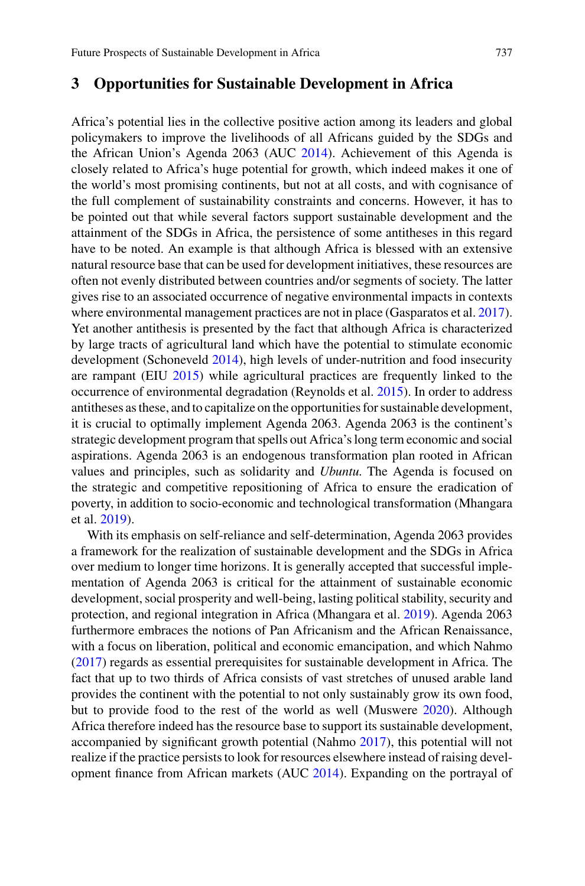#### **3 Opportunities for Sustainable Development in Africa**

Africa's potential lies in the collective positive action among its leaders and global policymakers to improve the livelihoods of all Africans guided by the SDGs and the African Union's Agenda 2063 (AUC [2014\)](#page-6-2). Achievement of this Agenda is closely related to Africa's huge potential for growth, which indeed makes it one of the world's most promising continents, but not at all costs, and with cognisance of the full complement of sustainability constraints and concerns. However, it has to be pointed out that while several factors support sustainable development and the attainment of the SDGs in Africa, the persistence of some antitheses in this regard have to be noted. An example is that although Africa is blessed with an extensive natural resource base that can be used for development initiatives, these resources are often not evenly distributed between countries and/or segments of society. The latter gives rise to an associated occurrence of negative environmental impacts in contexts where environmental management practices are not in place (Gasparatos et al. [2017\)](#page-7-12). Yet another antithesis is presented by the fact that although Africa is characterized by large tracts of agricultural land which have the potential to stimulate economic development (Schoneveld [2014\)](#page-8-8), high levels of under-nutrition and food insecurity are rampant (EIU [2015\)](#page-7-13) while agricultural practices are frequently linked to the occurrence of environmental degradation (Reynolds et al. [2015\)](#page-8-9). In order to address antitheses as these, and to capitalize on the opportunities for sustainable development, it is crucial to optimally implement Agenda 2063. Agenda 2063 is the continent's strategic development program that spells out Africa's long term economic and social aspirations. Agenda 2063 is an endogenous transformation plan rooted in African values and principles, such as solidarity and *Ubuntu*. The Agenda is focused on the strategic and competitive repositioning of Africa to ensure the eradication of poverty, in addition to socio-economic and technological transformation (Mhangara et al. [2019\)](#page-7-14).

With its emphasis on self-reliance and self-determination, Agenda 2063 provides a framework for the realization of sustainable development and the SDGs in Africa over medium to longer time horizons. It is generally accepted that successful implementation of Agenda 2063 is critical for the attainment of sustainable economic development, social prosperity and well-being, lasting political stability, security and protection, and regional integration in Africa (Mhangara et al. [2019\)](#page-7-14). Agenda 2063 furthermore embraces the notions of Pan Africanism and the African Renaissance, with a focus on liberation, political and economic emancipation, and which Nahmo [\(2017\)](#page-8-10) regards as essential prerequisites for sustainable development in Africa. The fact that up to two thirds of Africa consists of vast stretches of unused arable land provides the continent with the potential to not only sustainably grow its own food, but to provide food to the rest of the world as well (Muswere [2020\)](#page-8-11). Although Africa therefore indeed has the resource base to support its sustainable development, accompanied by significant growth potential (Nahmo [2017\)](#page-8-10), this potential will not realize if the practice persists to look for resources elsewhere instead of raising development finance from African markets (AUC [2014\)](#page-6-2). Expanding on the portrayal of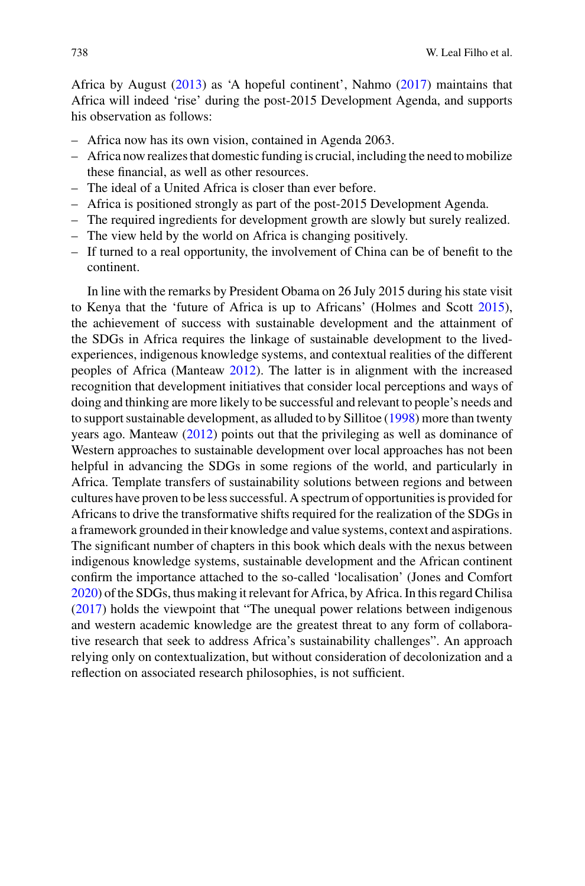Africa by August [\(2013\)](#page-7-15) as 'A hopeful continent', Nahmo [\(2017\)](#page-8-10) maintains that Africa will indeed 'rise' during the post-2015 Development Agenda, and supports his observation as follows:

- Africa now has its own vision, contained in Agenda 2063.
- Africa now realizes that domestic funding is crucial, including the need to mobilize these financial, as well as other resources.
- The ideal of a United Africa is closer than ever before.
- Africa is positioned strongly as part of the post-2015 Development Agenda.
- The required ingredients for development growth are slowly but surely realized.
- The view held by the world on Africa is changing positively.
- If turned to a real opportunity, the involvement of China can be of benefit to the continent.

In line with the remarks by President Obama on 26 July 2015 during his state visit to Kenya that the 'future of Africa is up to Africans' (Holmes and Scott [2015\)](#page-7-16), the achievement of success with sustainable development and the attainment of the SDGs in Africa requires the linkage of sustainable development to the livedexperiences, indigenous knowledge systems, and contextual realities of the different peoples of Africa (Manteaw [2012\)](#page-7-17). The latter is in alignment with the increased recognition that development initiatives that consider local perceptions and ways of doing and thinking are more likely to be successful and relevant to people's needs and to support sustainable development, as alluded to by Sillitoe [\(1998\)](#page-8-12) more than twenty years ago. Manteaw [\(2012\)](#page-7-17) points out that the privileging as well as dominance of Western approaches to sustainable development over local approaches has not been helpful in advancing the SDGs in some regions of the world, and particularly in Africa. Template transfers of sustainability solutions between regions and between cultures have proven to be less successful. A spectrum of opportunities is provided for Africans to drive the transformative shifts required for the realization of the SDGs in a framework grounded in their knowledge and value systems, context and aspirations. The significant number of chapters in this book which deals with the nexus between indigenous knowledge systems, sustainable development and the African continent confirm the importance attached to the so-called 'localisation' (Jones and Comfort [2020\)](#page-7-18) of the SDGs, thus making it relevant for Africa, by Africa. In this regard Chilisa [\(2017\)](#page-7-19) holds the viewpoint that "The unequal power relations between indigenous and western academic knowledge are the greatest threat to any form of collaborative research that seek to address Africa's sustainability challenges". An approach relying only on contextualization, but without consideration of decolonization and a reflection on associated research philosophies, is not sufficient.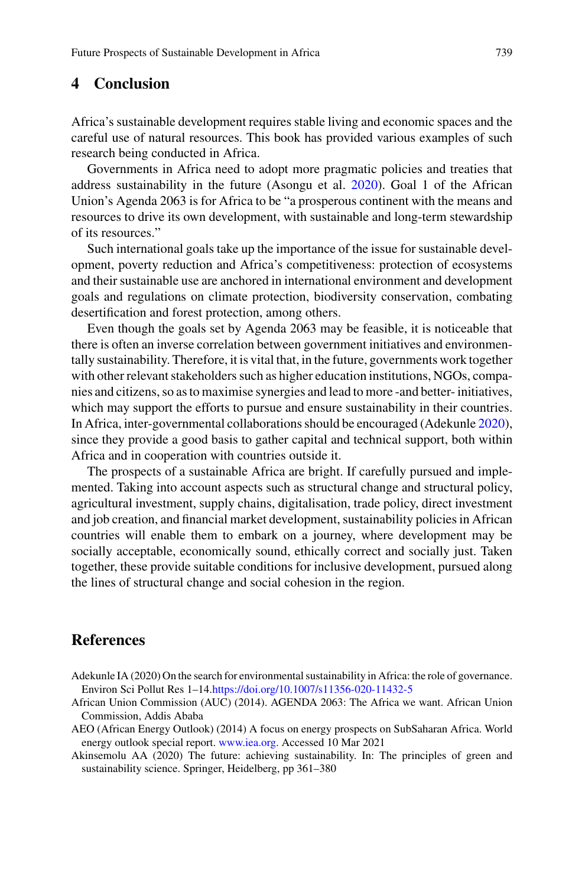# **4 Conclusion**

Africa's sustainable development requires stable living and economic spaces and the careful use of natural resources. This book has provided various examples of such research being conducted in Africa.

Governments in Africa need to adopt more pragmatic policies and treaties that address sustainability in the future (Asongu et al. [2020\)](#page-7-1). Goal 1 of the African Union's Agenda 2063 is for Africa to be "a prosperous continent with the means and resources to drive its own development, with sustainable and long-term stewardship of its resources."

Such international goals take up the importance of the issue for sustainable development, poverty reduction and Africa's competitiveness: protection of ecosystems and their sustainable use are anchored in international environment and development goals and regulations on climate protection, biodiversity conservation, combating desertification and forest protection, among others.

Even though the goals set by Agenda 2063 may be feasible, it is noticeable that there is often an inverse correlation between government initiatives and environmentally sustainability. Therefore, it is vital that, in the future, governments work together with other relevant stakeholders such as higher education institutions, NGOs, companies and citizens, so as to maximise synergies and lead to more -and better- initiatives, which may support the efforts to pursue and ensure sustainability in their countries. In Africa, inter-governmental collaborations should be encouraged (Adekunle [2020\)](#page-6-3), since they provide a good basis to gather capital and technical support, both within Africa and in cooperation with countries outside it.

The prospects of a sustainable Africa are bright. If carefully pursued and implemented. Taking into account aspects such as structural change and structural policy, agricultural investment, supply chains, digitalisation, trade policy, direct investment and job creation, and financial market development, sustainability policies in African countries will enable them to embark on a journey, where development may be socially acceptable, economically sound, ethically correct and socially just. Taken together, these provide suitable conditions for inclusive development, pursued along the lines of structural change and social cohesion in the region.

# **References**

- <span id="page-6-3"></span>Adekunle IA (2020) On the search for environmental sustainability in Africa: the role of governance. Environ Sci Pollut Res 1–14[.https://doi.org/10.1007/s11356-020-11432-5](https://doi.org/10.1007/s11356-020-11432-5)
- <span id="page-6-2"></span>African Union Commission (AUC) (2014). AGENDA 2063: The Africa we want. African Union Commission, Addis Ababa
- <span id="page-6-1"></span>AEO (African Energy Outlook) (2014) A focus on energy prospects on SubSaharan Africa. World energy outlook special report. [www.iea.org.](http://www.iea.org) Accessed 10 Mar 2021

<span id="page-6-0"></span>Akinsemolu AA (2020) The future: achieving sustainability. In: The principles of green and sustainability science. Springer, Heidelberg, pp 361–380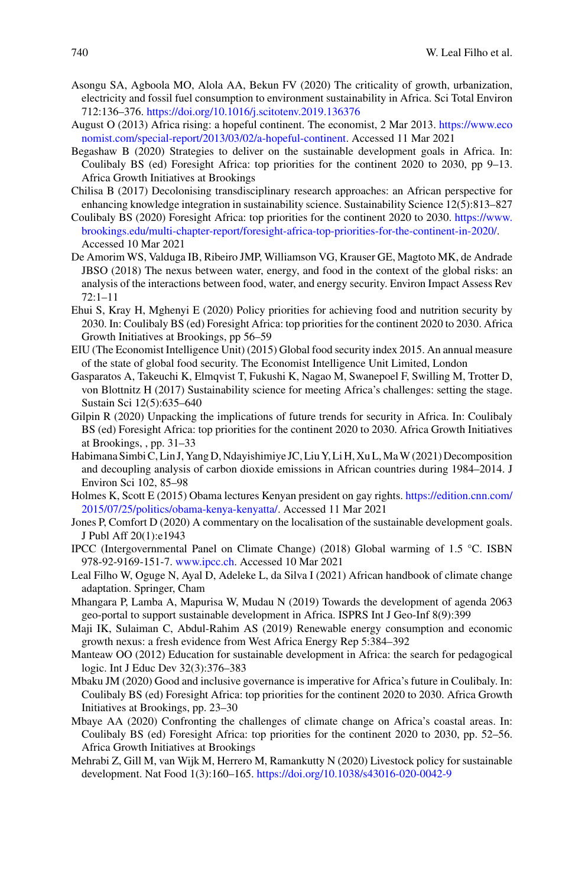- <span id="page-7-1"></span>Asongu SA, Agboola MO, Alola AA, Bekun FV (2020) The criticality of growth, urbanization, electricity and fossil fuel consumption to environment sustainability in Africa. Sci Total Environ 712:136–376. <https://doi.org/10.1016/j.scitotenv.2019.136376>
- <span id="page-7-15"></span>August O (2013) Africa rising: a hopeful continent. The economist, 2 Mar 2013. https://www.eco [nomist.com/special-report/2013/03/02/a-hopeful-continent. Accessed 11 Mar 2021](https://www.economist.com/special-report/2013/03/02/a-hopeful-continent)
- <span id="page-7-4"></span>Begashaw B (2020) Strategies to deliver on the sustainable development goals in Africa. In: Coulibaly BS (ed) Foresight Africa: top priorities for the continent 2020 to 2030, pp 9–13. Africa Growth Initiatives at Brookings
- <span id="page-7-19"></span>Chilisa B (2017) Decolonising transdisciplinary research approaches: an African perspective for enhancing knowledge integration in sustainability science. Sustainability Science 12(5):813–827
- <span id="page-7-3"></span>Coulibaly BS (2020) Foresight Africa: top priorities for the continent 2020 to 2030. https://www. [brookings.edu/multi-chapter-report/foresight-africa-top-priorities-for-the-continent-in-2020/.](https://www.brookings.edu/multi-chapter-report/foresight-africa-top-priorities-for-the-continent-in-2020/) Accessed 10 Mar 2021
- <span id="page-7-7"></span>De Amorim WS, Valduga IB, Ribeiro JMP, Williamson VG, Krauser GE, Magtoto MK, de Andrade JBSO (2018) The nexus between water, energy, and food in the context of the global risks: an analysis of the interactions between food, water, and energy security. Environ Impact Assess Rev 72:1–11
- <span id="page-7-10"></span>Ehui S, Kray H, Mghenyi E (2020) Policy priorities for achieving food and nutrition security by 2030. In: Coulibaly BS (ed) Foresight Africa: top priorities for the continent 2020 to 2030. Africa Growth Initiatives at Brookings, pp 56–59
- <span id="page-7-13"></span>EIU (The Economist Intelligence Unit) (2015) Global food security index 2015. An annual measure of the state of global food security. The Economist Intelligence Unit Limited, London
- <span id="page-7-12"></span>Gasparatos A, Takeuchi K, Elmqvist T, Fukushi K, Nagao M, Swanepoel F, Swilling M, Trotter D, von Blottnitz H (2017) Sustainability science for meeting Africa's challenges: setting the stage. Sustain Sci 12(5):635–640
- <span id="page-7-6"></span>Gilpin R (2020) Unpacking the implications of future trends for security in Africa. In: Coulibaly BS (ed) Foresight Africa: top priorities for the continent 2020 to 2030. Africa Growth Initiatives at Brookings, , pp. 31–33
- <span id="page-7-8"></span>Habimana Simbi C, Lin J, Yang D, Ndayishimiye JC, Liu Y, Li H, Xu L,MaW (2021) Decomposition and decoupling analysis of carbon dioxide emissions in African countries during 1984–2014. J Environ Sci 102, 85–98
- <span id="page-7-16"></span>[Holmes K, Scott E \(2015\) Obama lectures Kenyan president on gay rights.](https://edition.cnn.com/2015/07/25/politics/obama-kenya-kenyatta/) https://edition.cnn.com/ 2015/07/25/politics/obama-kenya-kenyatta/. Accessed 11 Mar 2021
- <span id="page-7-18"></span>Jones P, Comfort D (2020) A commentary on the localisation of the sustainable development goals. J Publ Aff 20(1):e1943
- IPCC (Intergovernmental Panel on Climate Change) (2018) Global warming of 1.5 °C. ISBN 978-92-9169-151-7. [www.ipcc.ch.](http://www.ipcc.ch) Accessed 10 Mar 2021
- <span id="page-7-0"></span>Leal Filho W, Oguge N, Ayal D, Adeleke L, da Silva I (2021) African handbook of climate change adaptation. Springer, Cham
- <span id="page-7-14"></span>Mhangara P, Lamba A, Mapurisa W, Mudau N (2019) Towards the development of agenda 2063 geo-portal to support sustainable development in Africa. ISPRS Int J Geo-Inf 8(9):399
- <span id="page-7-9"></span>Maji IK, Sulaiman C, Abdul-Rahim AS (2019) Renewable energy consumption and economic growth nexus: a fresh evidence from West Africa Energy Rep 5:384–392
- <span id="page-7-17"></span>Manteaw OO (2012) Education for sustainable development in Africa: the search for pedagogical logic. Int J Educ Dev 32(3):376–383
- <span id="page-7-5"></span>Mbaku JM (2020) Good and inclusive governance is imperative for Africa's future in Coulibaly. In: Coulibaly BS (ed) Foresight Africa: top priorities for the continent 2020 to 2030. Africa Growth Initiatives at Brookings, pp. 23–30
- <span id="page-7-11"></span>Mbaye AA (2020) Confronting the challenges of climate change on Africa's coastal areas. In: Coulibaly BS (ed) Foresight Africa: top priorities for the continent 2020 to 2030, pp. 52–56. Africa Growth Initiatives at Brookings
- <span id="page-7-2"></span>Mehrabi Z, Gill M, van Wijk M, Herrero M, Ramankutty N (2020) Livestock policy for sustainable development. Nat Food 1(3):160–165. <https://doi.org/10.1038/s43016-020-0042-9>